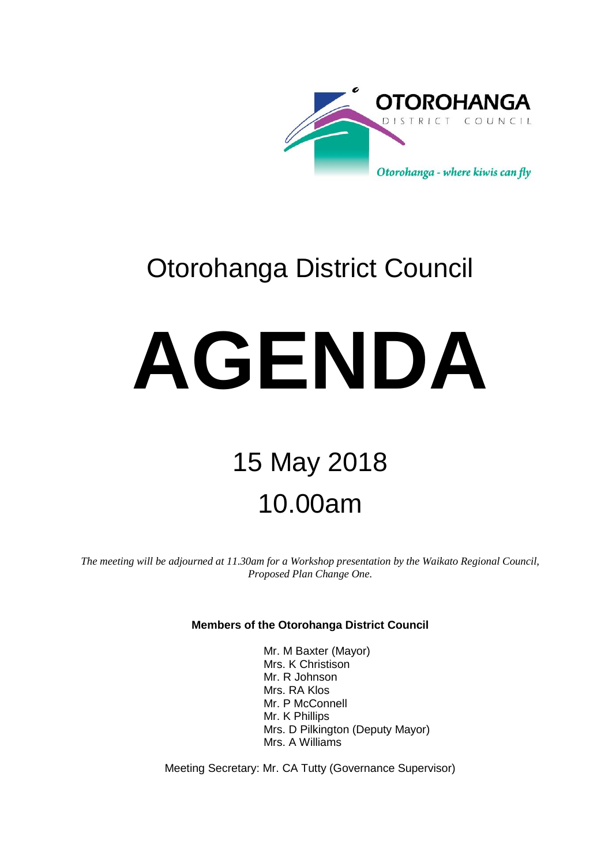

# Otorohanga District Council

# **AGENDA**

# 15 May 2018 10.00am

*The meeting will be adjourned at 11.30am for a Workshop presentation by the Waikato Regional Council, Proposed Plan Change One.* 

#### **Members of the Otorohanga District Council**

Mr. M Baxter (Mayor) Mrs. K Christison Mr. R Johnson Mrs. RA Klos Mr. P McConnell Mr. K Phillips Mrs. D Pilkington (Deputy Mayor) Mrs. A Williams

Meeting Secretary: Mr. CA Tutty (Governance Supervisor)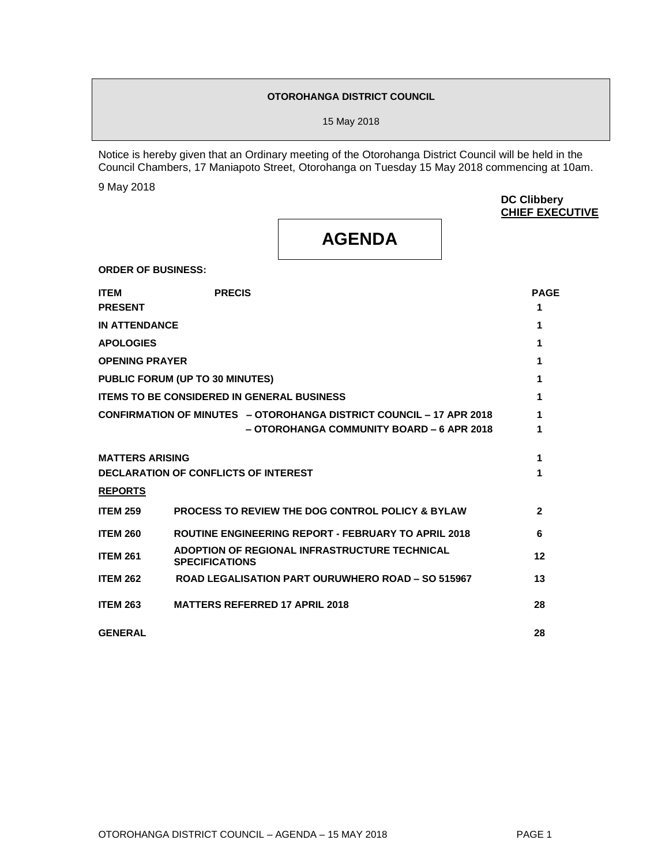#### **OTOROHANGA DISTRICT COUNCIL**

15 May 2018

Notice is hereby given that an Ordinary meeting of the Otorohanga District Council will be held in the Council Chambers, 17 Maniapoto Street, Otorohanga on Tuesday 15 May 2018 commencing at 10am.

9 May 2018

**DC Clibbery CHIEF EXECUTIVE**

## **AGENDA**

**ORDER OF BUSINESS:**

| <b>ITEM</b>            | <b>PRECIS</b>                                                              | <b>PAGE</b>    |
|------------------------|----------------------------------------------------------------------------|----------------|
| <b>PRESENT</b>         |                                                                            | 1              |
| <b>IN ATTENDANCE</b>   |                                                                            | 1              |
| <b>APOLOGIES</b>       |                                                                            | 1              |
| <b>OPENING PRAYER</b>  |                                                                            | 1              |
|                        | PUBLIC FORUM (UP TO 30 MINUTES)                                            | 1              |
|                        | <b>ITEMS TO BE CONSIDERED IN GENERAL BUSINESS</b>                          | 1              |
|                        | <b>CONFIRMATION OF MINUTES - OTOROHANGA DISTRICT COUNCIL - 17 APR 2018</b> | 1              |
|                        | - OTOROHANGA COMMUNITY BOARD - 6 APR 2018                                  | 1              |
| <b>MATTERS ARISING</b> |                                                                            | 1              |
|                        | <b>DECLARATION OF CONFLICTS OF INTEREST</b>                                | 1              |
| <b>REPORTS</b>         |                                                                            |                |
| <b>ITEM 259</b>        | <b>PROCESS TO REVIEW THE DOG CONTROL POLICY &amp; BYLAW</b>                | $\overline{2}$ |
| <b>ITEM 260</b>        | <b>ROUTINE ENGINEERING REPORT - FEBRUARY TO APRIL 2018</b>                 | 6              |
| <b>ITEM 261</b>        | ADOPTION OF REGIONAL INFRASTRUCTURE TECHNICAL<br><b>SPECIFICATIONS</b>     | 12             |
| <b>ITEM 262</b>        | <b>ROAD LEGALISATION PART OURUWHERO ROAD - SO 515967</b>                   | 13             |
| <b>ITEM 263</b>        | <b>MATTERS REFERRED 17 APRIL 2018</b>                                      | 28             |
| <b>GENERAL</b>         |                                                                            | 28             |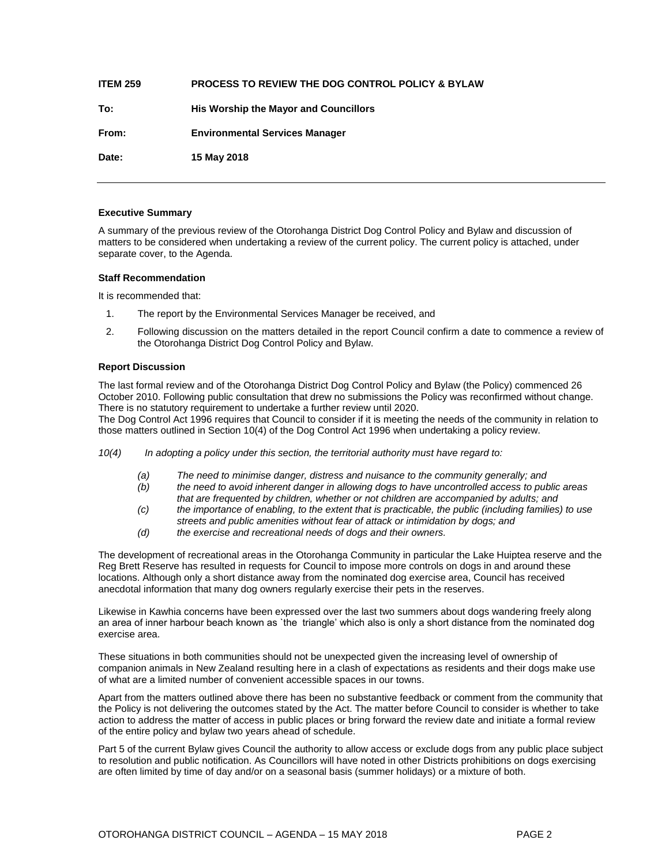| <b>ITEM 259</b> | <b>PROCESS TO REVIEW THE DOG CONTROL POLICY &amp; BYLAW</b> |
|-----------------|-------------------------------------------------------------|
| To:             | His Worship the Mayor and Councillors                       |
| From:           | <b>Environmental Services Manager</b>                       |
| Date:           | 15 May 2018                                                 |

#### **Executive Summary**

A summary of the previous review of the Otorohanga District Dog Control Policy and Bylaw and discussion of matters to be considered when undertaking a review of the current policy. The current policy is attached, under separate cover, to the Agenda.

#### **Staff Recommendation**

It is recommended that:

- 1. The report by the Environmental Services Manager be received, and
- 2. Following discussion on the matters detailed in the report Council confirm a date to commence a review of the Otorohanga District Dog Control Policy and Bylaw.

#### **Report Discussion**

The last formal review and of the Otorohanga District Dog Control Policy and Bylaw (the Policy) commenced 26 October 2010. Following public consultation that drew no submissions the Policy was reconfirmed without change. There is no statutory requirement to undertake a further review until 2020.

The Dog Control Act 1996 requires that Council to consider if it is meeting the needs of the community in relation to those matters outlined in Section 10(4) of the Dog Control Act 1996 when undertaking a policy review.

- *10(4) In adopting a policy under this section, the territorial authority must have regard to:*
	- *(a) The need to minimise danger, distress and nuisance to the community generally; and*
	- *(b) the need to avoid inherent danger in allowing dogs to have uncontrolled access to public areas*
	- *that are frequented by children, whether or not children are accompanied by adults; and*
	- *(c) the importance of enabling, to the extent that is practicable, the public (including families) to use streets and public amenities without fear of attack or intimidation by dogs; and*
	- *(d) the exercise and recreational needs of dogs and their owners.*

The development of recreational areas in the Otorohanga Community in particular the Lake Huiptea reserve and the Reg Brett Reserve has resulted in requests for Council to impose more controls on dogs in and around these locations. Although only a short distance away from the nominated dog exercise area, Council has received anecdotal information that many dog owners regularly exercise their pets in the reserves.

Likewise in Kawhia concerns have been expressed over the last two summers about dogs wandering freely along an area of inner harbour beach known as `the triangle' which also is only a short distance from the nominated dog exercise area.

These situations in both communities should not be unexpected given the increasing level of ownership of companion animals in New Zealand resulting here in a clash of expectations as residents and their dogs make use of what are a limited number of convenient accessible spaces in our towns.

Apart from the matters outlined above there has been no substantive feedback or comment from the community that the Policy is not delivering the outcomes stated by the Act. The matter before Council to consider is whether to take action to address the matter of access in public places or bring forward the review date and initiate a formal review of the entire policy and bylaw two years ahead of schedule.

Part 5 of the current Bylaw gives Council the authority to allow access or exclude dogs from any public place subject to resolution and public notification. As Councillors will have noted in other Districts prohibitions on dogs exercising are often limited by time of day and/or on a seasonal basis (summer holidays) or a mixture of both.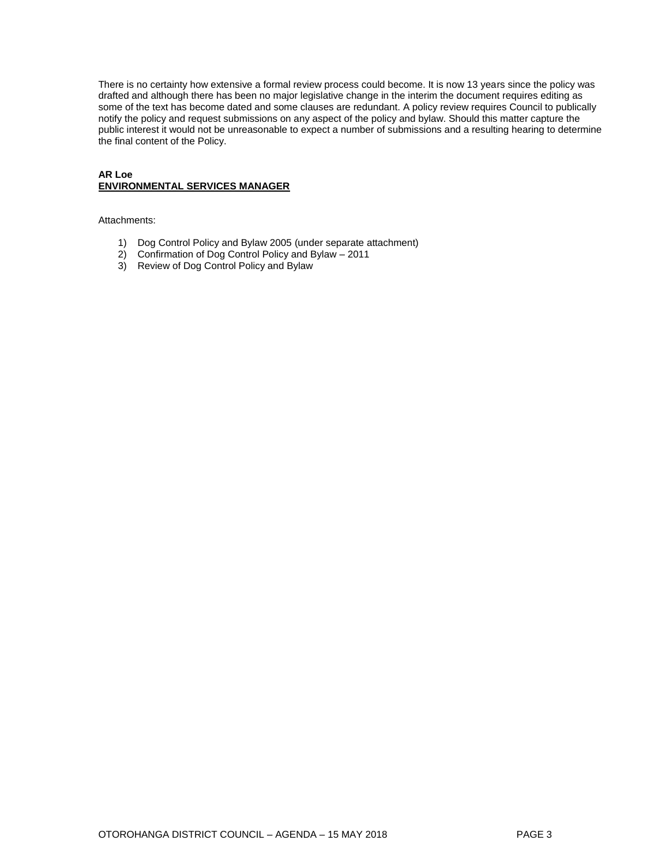There is no certainty how extensive a formal review process could become. It is now 13 years since the policy was drafted and although there has been no major legislative change in the interim the document requires editing as some of the text has become dated and some clauses are redundant. A policy review requires Council to publically notify the policy and request submissions on any aspect of the policy and bylaw. Should this matter capture the public interest it would not be unreasonable to expect a number of submissions and a resulting hearing to determine the final content of the Policy.

#### **AR Loe ENVIRONMENTAL SERVICES MANAGER**

Attachments:

- 1) Dog Control Policy and Bylaw 2005 (under separate attachment)
- 2) Confirmation of Dog Control Policy and Bylaw 2011
- 3) Review of Dog Control Policy and Bylaw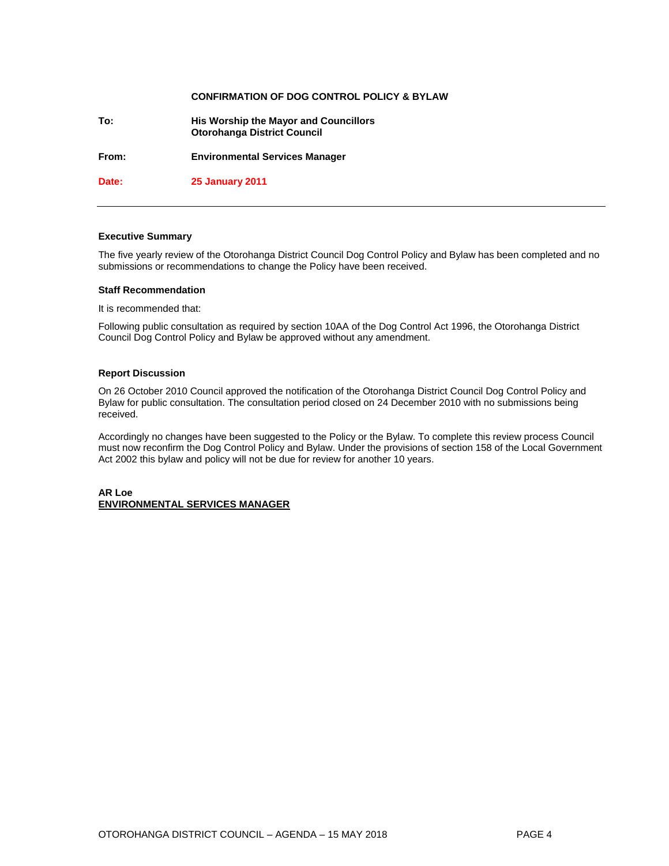#### **CONFIRMATION OF DOG CONTROL POLICY & BYLAW**

**To: His Worship the Mayor and Councillors Otorohanga District Council From: Environmental Services Manager Date: 25 January 2011** 

#### **Executive Summary**

The five yearly review of the Otorohanga District Council Dog Control Policy and Bylaw has been completed and no submissions or recommendations to change the Policy have been received.

#### **Staff Recommendation**

It is recommended that:

Following public consultation as required by section 10AA of the Dog Control Act 1996, the Otorohanga District Council Dog Control Policy and Bylaw be approved without any amendment.

#### **Report Discussion**

On 26 October 2010 Council approved the notification of the Otorohanga District Council Dog Control Policy and Bylaw for public consultation. The consultation period closed on 24 December 2010 with no submissions being received.

Accordingly no changes have been suggested to the Policy or the Bylaw. To complete this review process Council must now reconfirm the Dog Control Policy and Bylaw. Under the provisions of section 158 of the Local Government Act 2002 this bylaw and policy will not be due for review for another 10 years.

#### **AR Loe ENVIRONMENTAL SERVICES MANAGER**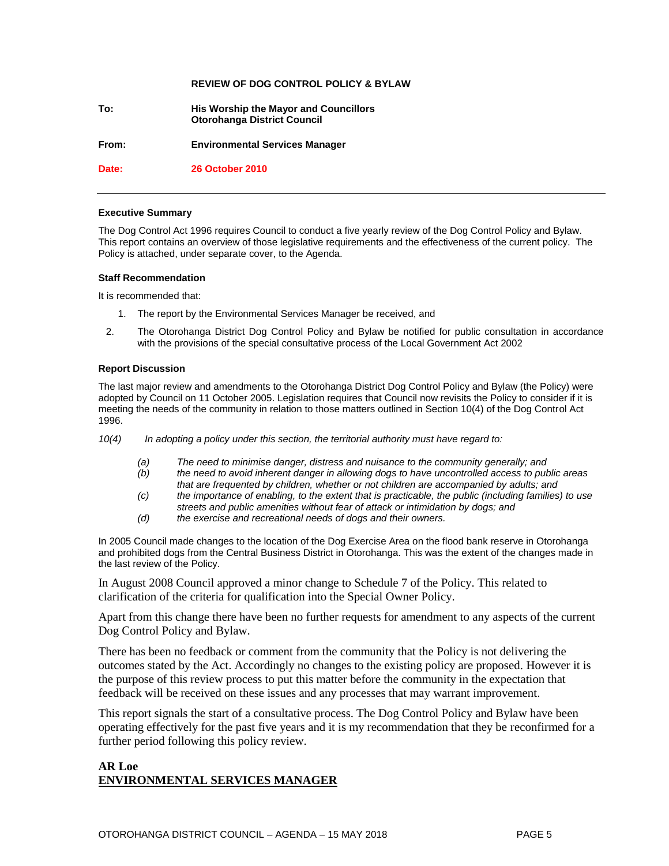#### **REVIEW OF DOG CONTROL POLICY & BYLAW**

**To: His Worship the Mayor and Councillors Otorohanga District Council**

**From: Environmental Services Manager**

**Date: 26 October 2010** 

#### **Executive Summary**

The Dog Control Act 1996 requires Council to conduct a five yearly review of the Dog Control Policy and Bylaw. This report contains an overview of those legislative requirements and the effectiveness of the current policy. The Policy is attached, under separate cover, to the Agenda.

#### **Staff Recommendation**

It is recommended that:

- 1. The report by the Environmental Services Manager be received, and
- 2. The Otorohanga District Dog Control Policy and Bylaw be notified for public consultation in accordance with the provisions of the special consultative process of the Local Government Act 2002

#### **Report Discussion**

The last major review and amendments to the Otorohanga District Dog Control Policy and Bylaw (the Policy) were adopted by Council on 11 October 2005. Legislation requires that Council now revisits the Policy to consider if it is meeting the needs of the community in relation to those matters outlined in Section 10(4) of the Dog Control Act 1996.

- *10(4) In adopting a policy under this section, the territorial authority must have regard to:*
	- *(a) The need to minimise danger, distress and nuisance to the community generally; and*
	- *(b) the need to avoid inherent danger in allowing dogs to have uncontrolled access to public areas that are frequented by children, whether or not children are accompanied by adults; and*
	- *(c) the importance of enabling, to the extent that is practicable, the public (including families) to use streets and public amenities without fear of attack or intimidation by dogs; and*
	- *(d) the exercise and recreational needs of dogs and their owners.*

In 2005 Council made changes to the location of the Dog Exercise Area on the flood bank reserve in Otorohanga and prohibited dogs from the Central Business District in Otorohanga. This was the extent of the changes made in the last review of the Policy.

In August 2008 Council approved a minor change to Schedule 7 of the Policy. This related to clarification of the criteria for qualification into the Special Owner Policy.

Apart from this change there have been no further requests for amendment to any aspects of the current Dog Control Policy and Bylaw.

There has been no feedback or comment from the community that the Policy is not delivering the outcomes stated by the Act. Accordingly no changes to the existing policy are proposed. However it is the purpose of this review process to put this matter before the community in the expectation that feedback will be received on these issues and any processes that may warrant improvement.

This report signals the start of a consultative process. The Dog Control Policy and Bylaw have been operating effectively for the past five years and it is my recommendation that they be reconfirmed for a further period following this policy review.

#### **AR Loe ENVIRONMENTAL SERVICES MANAGER**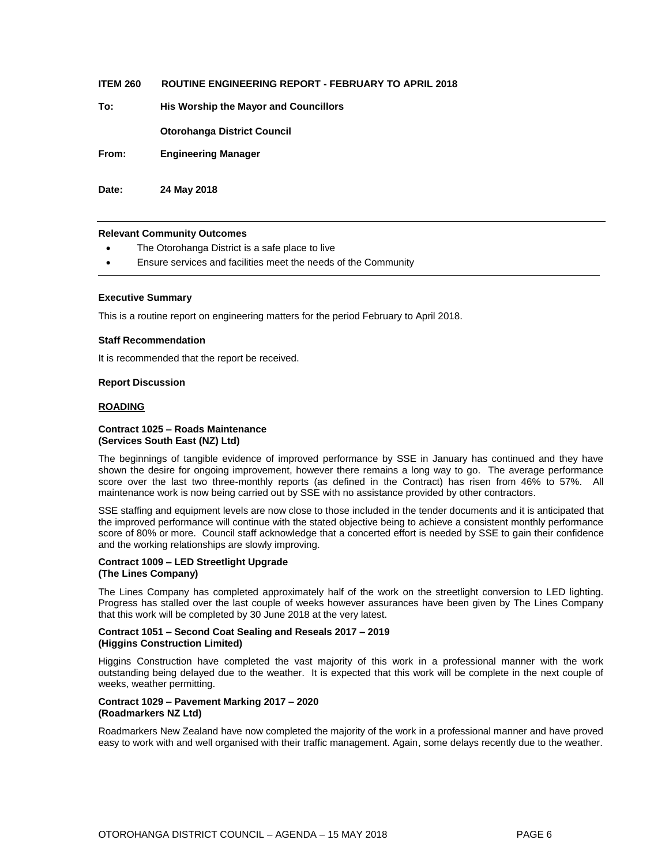| <b>ITEM 260</b> | <b>ROUTINE ENGINEERING REPORT - FEBRUARY TO APRIL 2018</b> |
|-----------------|------------------------------------------------------------|
| To:             | His Worship the Mayor and Councillors                      |
|                 | <b>Otorohanga District Council</b>                         |
| From:           | <b>Engineering Manager</b>                                 |
| Date:           | 24 May 2018                                                |

#### **Relevant Community Outcomes**

- The Otorohanga District is a safe place to live
- Ensure services and facilities meet the needs of the Community

#### **Executive Summary**

This is a routine report on engineering matters for the period February to April 2018.

#### **Staff Recommendation**

It is recommended that the report be received.

#### **Report Discussion**

#### **ROADING**

#### **Contract 1025 – Roads Maintenance (Services South East (NZ) Ltd)**

The beginnings of tangible evidence of improved performance by SSE in January has continued and they have shown the desire for ongoing improvement, however there remains a long way to go. The average performance score over the last two three-monthly reports (as defined in the Contract) has risen from 46% to 57%. All maintenance work is now being carried out by SSE with no assistance provided by other contractors.

SSE staffing and equipment levels are now close to those included in the tender documents and it is anticipated that the improved performance will continue with the stated objective being to achieve a consistent monthly performance score of 80% or more. Council staff acknowledge that a concerted effort is needed by SSE to gain their confidence and the working relationships are slowly improving.

#### **Contract 1009 – LED Streetlight Upgrade (The Lines Company)**

The Lines Company has completed approximately half of the work on the streetlight conversion to LED lighting. Progress has stalled over the last couple of weeks however assurances have been given by The Lines Company that this work will be completed by 30 June 2018 at the very latest.

#### **Contract 1051 – Second Coat Sealing and Reseals 2017 – 2019 (Higgins Construction Limited)**

Higgins Construction have completed the vast majority of this work in a professional manner with the work outstanding being delayed due to the weather. It is expected that this work will be complete in the next couple of weeks, weather permitting.

#### **Contract 1029 – Pavement Marking 2017 – 2020 (Roadmarkers NZ Ltd)**

Roadmarkers New Zealand have now completed the majority of the work in a professional manner and have proved easy to work with and well organised with their traffic management. Again, some delays recently due to the weather.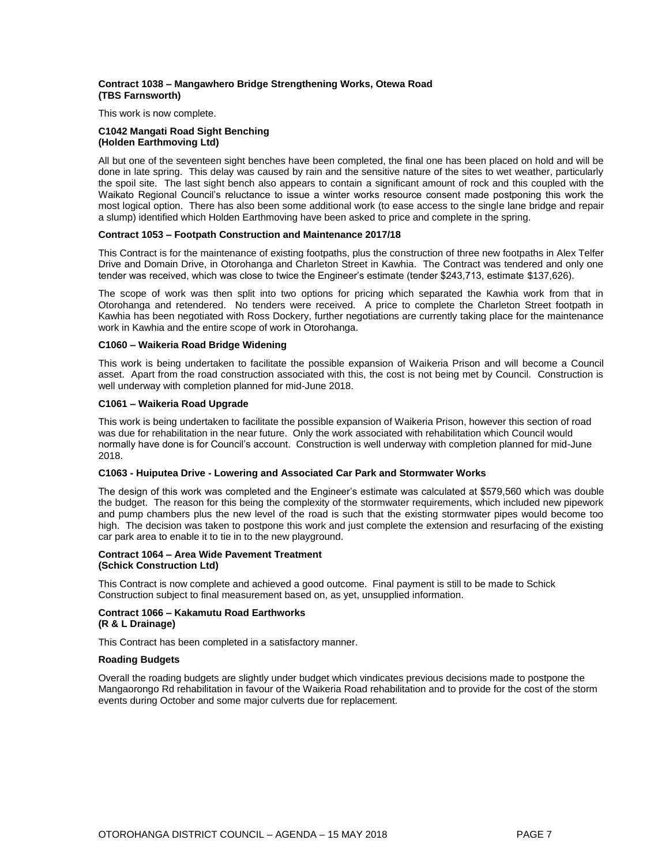#### **Contract 1038 – Mangawhero Bridge Strengthening Works, Otewa Road (TBS Farnsworth)**

This work is now complete.

#### **C1042 Mangati Road Sight Benching (Holden Earthmoving Ltd)**

All but one of the seventeen sight benches have been completed, the final one has been placed on hold and will be done in late spring. This delay was caused by rain and the sensitive nature of the sites to wet weather, particularly the spoil site. The last sight bench also appears to contain a significant amount of rock and this coupled with the Waikato Regional Council's reluctance to issue a winter works resource consent made postponing this work the most logical option. There has also been some additional work (to ease access to the single lane bridge and repair a slump) identified which Holden Earthmoving have been asked to price and complete in the spring.

#### **Contract 1053 – Footpath Construction and Maintenance 2017/18**

This Contract is for the maintenance of existing footpaths, plus the construction of three new footpaths in Alex Telfer Drive and Domain Drive, in Otorohanga and Charleton Street in Kawhia. The Contract was tendered and only one tender was received, which was close to twice the Engineer's estimate (tender \$243,713, estimate \$137,626).

The scope of work was then split into two options for pricing which separated the Kawhia work from that in Otorohanga and retendered. No tenders were received. A price to complete the Charleton Street footpath in Kawhia has been negotiated with Ross Dockery, further negotiations are currently taking place for the maintenance work in Kawhia and the entire scope of work in Otorohanga.

#### **C1060 – Waikeria Road Bridge Widening**

This work is being undertaken to facilitate the possible expansion of Waikeria Prison and will become a Council asset. Apart from the road construction associated with this, the cost is not being met by Council. Construction is well underway with completion planned for mid-June 2018.

#### **C1061 – Waikeria Road Upgrade**

This work is being undertaken to facilitate the possible expansion of Waikeria Prison, however this section of road was due for rehabilitation in the near future. Only the work associated with rehabilitation which Council would normally have done is for Council's account. Construction is well underway with completion planned for mid-June 2018.

#### **C1063 - Huiputea Drive - Lowering and Associated Car Park and Stormwater Works**

The design of this work was completed and the Engineer's estimate was calculated at \$579,560 which was double the budget. The reason for this being the complexity of the stormwater requirements, which included new pipework and pump chambers plus the new level of the road is such that the existing stormwater pipes would become too high. The decision was taken to postpone this work and just complete the extension and resurfacing of the existing car park area to enable it to tie in to the new playground.

#### **Contract 1064 – Area Wide Pavement Treatment (Schick Construction Ltd)**

This Contract is now complete and achieved a good outcome. Final payment is still to be made to Schick Construction subject to final measurement based on, as yet, unsupplied information.

#### **Contract 1066 – Kakamutu Road Earthworks**

#### **(R & L Drainage)**

This Contract has been completed in a satisfactory manner.

#### **Roading Budgets**

Overall the roading budgets are slightly under budget which vindicates previous decisions made to postpone the Mangaorongo Rd rehabilitation in favour of the Waikeria Road rehabilitation and to provide for the cost of the storm events during October and some major culverts due for replacement.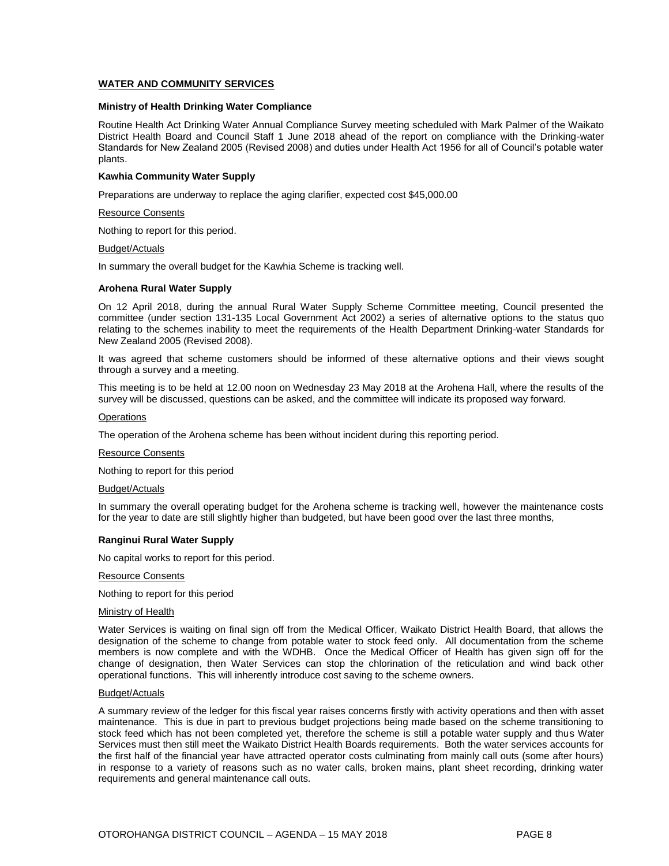#### **WATER AND COMMUNITY SERVICES**

#### **Ministry of Health Drinking Water Compliance**

Routine Health Act Drinking Water Annual Compliance Survey meeting scheduled with Mark Palmer of the Waikato District Health Board and Council Staff 1 June 2018 ahead of the report on compliance with the Drinking-water Standards for New Zealand 2005 (Revised 2008) and duties under Health Act 1956 for all of Council's potable water plants.

#### **Kawhia Community Water Supply**

Preparations are underway to replace the aging clarifier, expected cost \$45,000.00

#### Resource Consents

Nothing to report for this period.

#### Budget/Actuals

In summary the overall budget for the Kawhia Scheme is tracking well.

#### **Arohena Rural Water Supply**

On 12 April 2018, during the annual Rural Water Supply Scheme Committee meeting, Council presented the committee (under section 131-135 Local Government Act 2002) a series of alternative options to the status quo relating to the schemes inability to meet the requirements of the Health Department Drinking-water Standards for New Zealand 2005 (Revised 2008).

It was agreed that scheme customers should be informed of these alternative options and their views sought through a survey and a meeting.

This meeting is to be held at 12.00 noon on Wednesday 23 May 2018 at the Arohena Hall, where the results of the survey will be discussed, questions can be asked, and the committee will indicate its proposed way forward.

#### **Operations**

The operation of the Arohena scheme has been without incident during this reporting period.

#### Resource Consents

Nothing to report for this period

#### Budget/Actuals

In summary the overall operating budget for the Arohena scheme is tracking well, however the maintenance costs for the year to date are still slightly higher than budgeted, but have been good over the last three months,

#### **Ranginui Rural Water Supply**

No capital works to report for this period.

Resource Consents

Nothing to report for this period

#### Ministry of Health

Water Services is waiting on final sign off from the Medical Officer, Waikato District Health Board, that allows the designation of the scheme to change from potable water to stock feed only. All documentation from the scheme members is now complete and with the WDHB. Once the Medical Officer of Health has given sign off for the change of designation, then Water Services can stop the chlorination of the reticulation and wind back other operational functions. This will inherently introduce cost saving to the scheme owners.

#### Budget/Actuals

A summary review of the ledger for this fiscal year raises concerns firstly with activity operations and then with asset maintenance. This is due in part to previous budget projections being made based on the scheme transitioning to stock feed which has not been completed yet, therefore the scheme is still a potable water supply and thus Water Services must then still meet the Waikato District Health Boards requirements. Both the water services accounts for the first half of the financial year have attracted operator costs culminating from mainly call outs (some after hours) in response to a variety of reasons such as no water calls, broken mains, plant sheet recording, drinking water requirements and general maintenance call outs.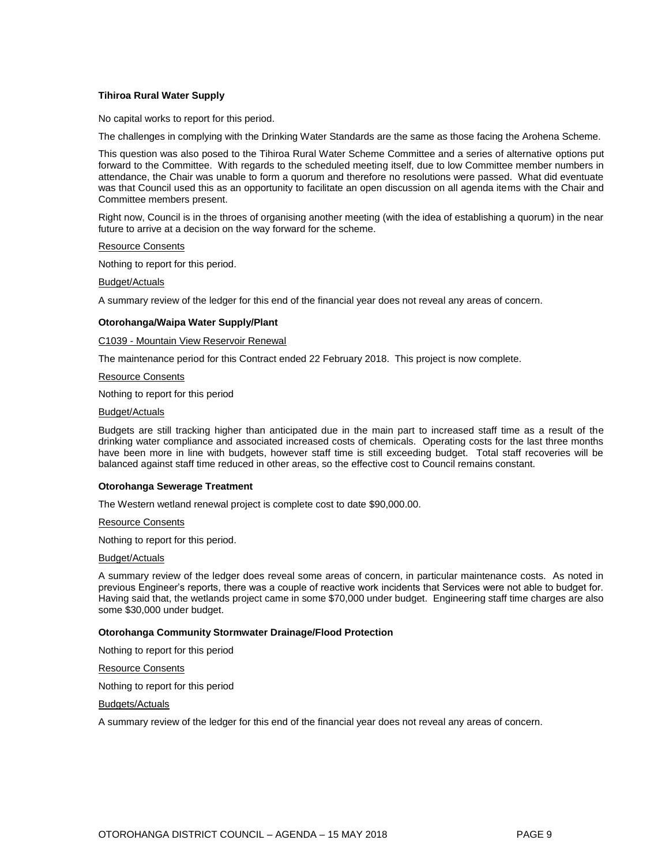#### **Tihiroa Rural Water Supply**

No capital works to report for this period.

The challenges in complying with the Drinking Water Standards are the same as those facing the Arohena Scheme.

This question was also posed to the Tihiroa Rural Water Scheme Committee and a series of alternative options put forward to the Committee. With regards to the scheduled meeting itself, due to low Committee member numbers in attendance, the Chair was unable to form a quorum and therefore no resolutions were passed. What did eventuate was that Council used this as an opportunity to facilitate an open discussion on all agenda items with the Chair and Committee members present.

Right now, Council is in the throes of organising another meeting (with the idea of establishing a quorum) in the near future to arrive at a decision on the way forward for the scheme.

Resource Consents

Nothing to report for this period.

Budget/Actuals

A summary review of the ledger for this end of the financial year does not reveal any areas of concern.

#### **Otorohanga/Waipa Water Supply/Plant**

C1039 - Mountain View Reservoir Renewal

The maintenance period for this Contract ended 22 February 2018. This project is now complete.

Resource Consents

Nothing to report for this period

#### Budget/Actuals

Budgets are still tracking higher than anticipated due in the main part to increased staff time as a result of the drinking water compliance and associated increased costs of chemicals. Operating costs for the last three months have been more in line with budgets, however staff time is still exceeding budget. Total staff recoveries will be balanced against staff time reduced in other areas, so the effective cost to Council remains constant.

#### **Otorohanga Sewerage Treatment**

The Western wetland renewal project is complete cost to date \$90,000.00.

Resource Consents

Nothing to report for this period.

Budget/Actuals

A summary review of the ledger does reveal some areas of concern, in particular maintenance costs. As noted in previous Engineer's reports, there was a couple of reactive work incidents that Services were not able to budget for. Having said that, the wetlands project came in some \$70,000 under budget. Engineering staff time charges are also some \$30,000 under budget.

#### **Otorohanga Community Stormwater Drainage/Flood Protection**

Nothing to report for this period

Resource Consents

Nothing to report for this period

Budgets/Actuals

A summary review of the ledger for this end of the financial year does not reveal any areas of concern.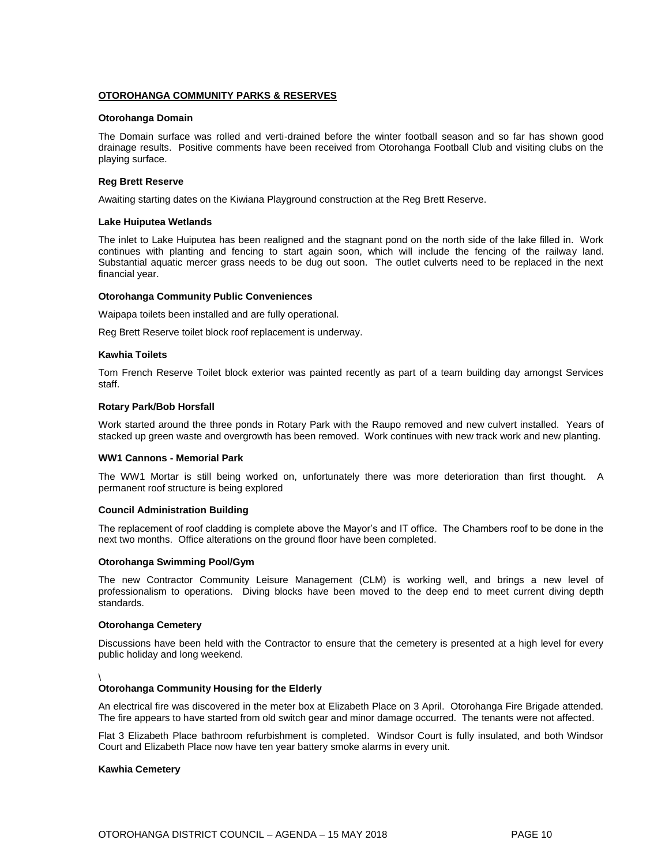#### **OTOROHANGA COMMUNITY PARKS & RESERVES**

#### **Otorohanga Domain**

The Domain surface was rolled and verti-drained before the winter football season and so far has shown good drainage results. Positive comments have been received from Otorohanga Football Club and visiting clubs on the playing surface.

#### **Reg Brett Reserve**

Awaiting starting dates on the Kiwiana Playground construction at the Reg Brett Reserve.

#### **Lake Huiputea Wetlands**

The inlet to Lake Huiputea has been realigned and the stagnant pond on the north side of the lake filled in. Work continues with planting and fencing to start again soon, which will include the fencing of the railway land. Substantial aquatic mercer grass needs to be dug out soon. The outlet culverts need to be replaced in the next financial year.

#### **Otorohanga Community Public Conveniences**

Waipapa toilets been installed and are fully operational.

Reg Brett Reserve toilet block roof replacement is underway.

#### **Kawhia Toilets**

Tom French Reserve Toilet block exterior was painted recently as part of a team building day amongst Services staff.

#### **Rotary Park/Bob Horsfall**

Work started around the three ponds in Rotary Park with the Raupo removed and new culvert installed. Years of stacked up green waste and overgrowth has been removed. Work continues with new track work and new planting.

#### **WW1 Cannons - Memorial Park**

The WW1 Mortar is still being worked on, unfortunately there was more deterioration than first thought. A permanent roof structure is being explored

#### **Council Administration Building**

The replacement of roof cladding is complete above the Mayor's and IT office. The Chambers roof to be done in the next two months. Office alterations on the ground floor have been completed.

#### **Otorohanga Swimming Pool/Gym**

The new Contractor Community Leisure Management (CLM) is working well, and brings a new level of professionalism to operations. Diving blocks have been moved to the deep end to meet current diving depth standards.

#### **Otorohanga Cemetery**

Discussions have been held with the Contractor to ensure that the cemetery is presented at a high level for every public holiday and long weekend.

#### \

#### **Otorohanga Community Housing for the Elderly**

An electrical fire was discovered in the meter box at Elizabeth Place on 3 April. Otorohanga Fire Brigade attended. The fire appears to have started from old switch gear and minor damage occurred. The tenants were not affected.

Flat 3 Elizabeth Place bathroom refurbishment is completed. Windsor Court is fully insulated, and both Windsor Court and Elizabeth Place now have ten year battery smoke alarms in every unit.

#### **Kawhia Cemetery**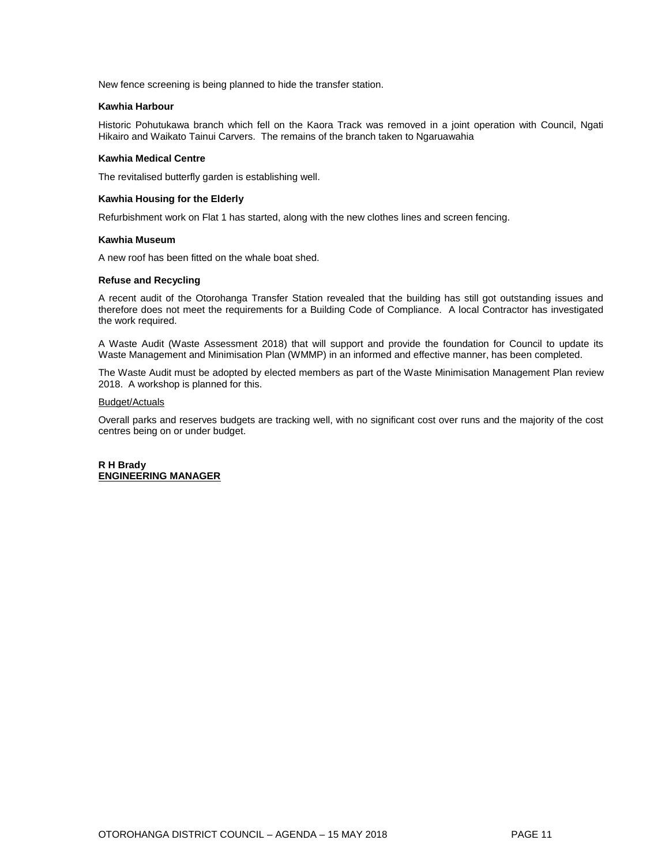New fence screening is being planned to hide the transfer station.

#### **Kawhia Harbour**

Historic Pohutukawa branch which fell on the Kaora Track was removed in a joint operation with Council, Ngati Hikairo and Waikato Tainui Carvers. The remains of the branch taken to Ngaruawahia

#### **Kawhia Medical Centre**

The revitalised butterfly garden is establishing well.

#### **Kawhia Housing for the Elderly**

Refurbishment work on Flat 1 has started, along with the new clothes lines and screen fencing.

#### **Kawhia Museum**

A new roof has been fitted on the whale boat shed.

#### **Refuse and Recycling**

A recent audit of the Otorohanga Transfer Station revealed that the building has still got outstanding issues and therefore does not meet the requirements for a Building Code of Compliance. A local Contractor has investigated the work required.

A Waste Audit (Waste Assessment 2018) that will support and provide the foundation for Council to update its Waste Management and Minimisation Plan (WMMP) in an informed and effective manner, has been completed.

The Waste Audit must be adopted by elected members as part of the Waste Minimisation Management Plan review 2018. A workshop is planned for this.

#### Budget/Actuals

Overall parks and reserves budgets are tracking well, with no significant cost over runs and the majority of the cost centres being on or under budget.

**R H Brady ENGINEERING MANAGER**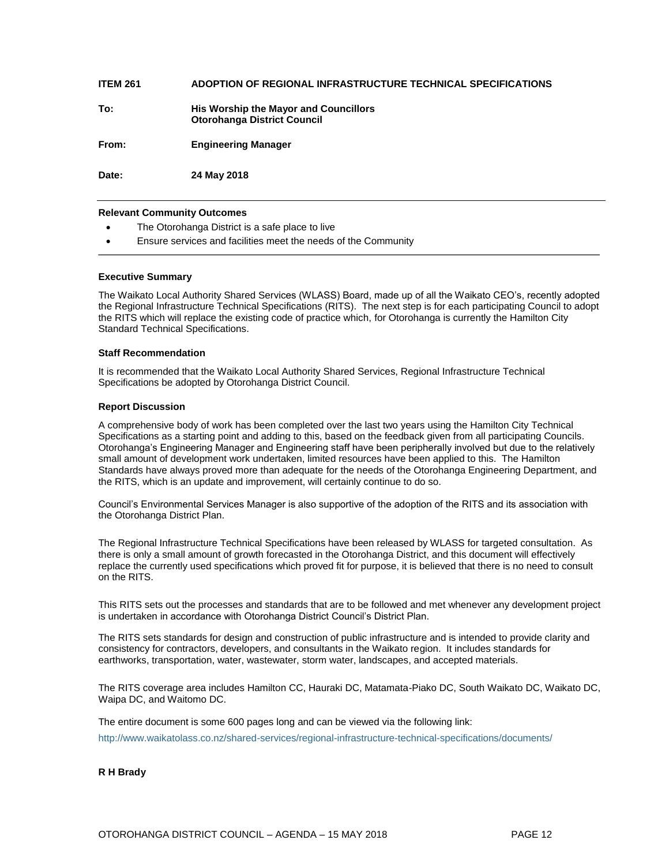| <b>ITEM 261</b> | ADOPTION OF REGIONAL INFRASTRUCTURE TECHNICAL SPECIFICATIONS                |
|-----------------|-----------------------------------------------------------------------------|
| To:             | His Worship the Mayor and Councillors<br><b>Otorohanga District Council</b> |
| From:           | <b>Engineering Manager</b>                                                  |
| Date:           | 24 May 2018                                                                 |

#### **Relevant Community Outcomes**

- The Otorohanga District is a safe place to live
- Ensure services and facilities meet the needs of the Community

#### **Executive Summary**

The Waikato Local Authority Shared Services (WLASS) Board, made up of all the Waikato CEO's, recently adopted the Regional Infrastructure Technical Specifications (RITS). The next step is for each participating Council to adopt the RITS which will replace the existing code of practice which, for Otorohanga is currently the Hamilton City Standard Technical Specifications.

#### **Staff Recommendation**

It is recommended that the Waikato Local Authority Shared Services, Regional Infrastructure Technical Specifications be adopted by Otorohanga District Council.

#### **Report Discussion**

A comprehensive body of work has been completed over the last two years using the Hamilton City Technical Specifications as a starting point and adding to this, based on the feedback given from all participating Councils. Otorohanga's Engineering Manager and Engineering staff have been peripherally involved but due to the relatively small amount of development work undertaken, limited resources have been applied to this. The Hamilton Standards have always proved more than adequate for the needs of the Otorohanga Engineering Department, and the RITS, which is an update and improvement, will certainly continue to do so.

Council's Environmental Services Manager is also supportive of the adoption of the RITS and its association with the Otorohanga District Plan.

The Regional Infrastructure Technical Specifications have been released by WLASS for targeted consultation. As there is only a small amount of growth forecasted in the Otorohanga District, and this document will effectively replace the currently used specifications which proved fit for purpose, it is believed that there is no need to consult on the RITS.

This RITS sets out the processes and standards that are to be followed and met whenever any development project is undertaken in accordance with Otorohanga District Council's District Plan.

The RITS sets standards for design and construction of public infrastructure and is intended to provide clarity and consistency for contractors, developers, and consultants in the Waikato region. It includes standards for earthworks, transportation, water, wastewater, storm water, landscapes, and accepted materials.

The RITS coverage area includes Hamilton CC, Hauraki DC, Matamata-Piako DC, South Waikato DC, Waikato DC, Waipa DC, and Waitomo DC.

The entire document is some 600 pages long and can be viewed via the following link:

<http://www.waikatolass.co.nz/shared-services/regional-infrastructure-technical-specifications/documents/>

#### **R H Brady**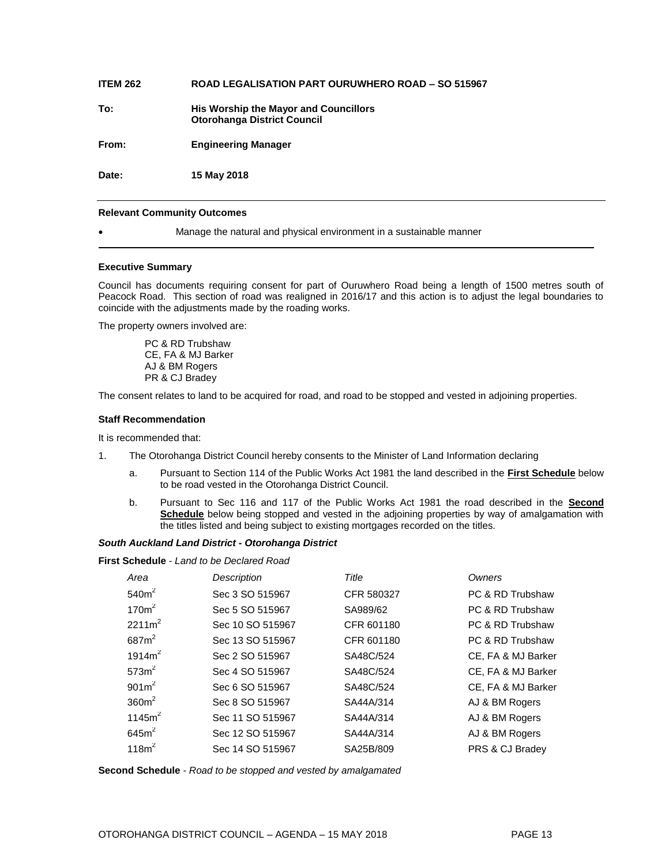## **ITEM 262 ROAD LEGALISATION PART OURUWHERO ROAD – SO 515967**

**To: His Worship the Mayor and Councillors Otorohanga District Council**

**From: Engineering Manager**

**Date: 15 May 2018**

#### **Relevant Community Outcomes**

Manage the natural and physical environment in a sustainable manner

#### **Executive Summary**

Council has documents requiring consent for part of Ouruwhero Road being a length of 1500 metres south of Peacock Road. This section of road was realigned in 2016/17 and this action is to adjust the legal boundaries to coincide with the adjustments made by the roading works.

The property owners involved are:

PC & RD Trubshaw CE, FA & MJ Barker AJ & BM Rogers PR & CJ Bradey

The consent relates to land to be acquired for road, and road to be stopped and vested in adjoining properties.

#### **Staff Recommendation**

It is recommended that:

- 1. The Otorohanga District Council hereby consents to the Minister of Land Information declaring
	- a. Pursuant to Section 114 of the Public Works Act 1981 the land described in the **First Schedule** below to be road vested in the Otorohanga District Council.
	- b. Pursuant to Sec 116 and 117 of the Public Works Act 1981 the road described in the **Second Schedule** below being stopped and vested in the adjoining properties by way of amalgamation with the titles listed and being subject to existing mortgages recorded on the titles.

#### *South Auckland Land District - Otorohanga District*

**First Schedule** - *Land to be Declared Road*

| Area               | Description      | Title      | Owners             |
|--------------------|------------------|------------|--------------------|
| 540m <sup>2</sup>  | Sec 3 SO 515967  | CFR 580327 | PC & RD Trubshaw   |
| 170 <sup>m²</sup>  | Sec 5 SO 515967  | SA989/62   | PC & RD Trubshaw   |
| $2211m^2$          | Sec 10 SO 515967 | CFR 601180 | PC & RD Trubshaw   |
| 687 <sup>2</sup>   | Sec 13 SO 515967 | CFR 601180 | PC & RD Trubshaw   |
| 1914m <sup>2</sup> | Sec 2 SO 515967  | SA48C/524  | CE, FA & MJ Barker |
| 573 <sup>2</sup>   | Sec 4 SO 515967  | SA48C/524  | CE, FA & MJ Barker |
| 901m <sup>2</sup>  | Sec 6 SO 515967  | SA48C/524  | CE, FA & MJ Barker |
| 360m <sup>2</sup>  | Sec 8 SO 515967  | SA44A/314  | AJ & BM Rogers     |
| 1145 $m2$          | Sec 11 SO 515967 | SA44A/314  | AJ & BM Rogers     |
| 645m <sup>2</sup>  | Sec 12 SO 515967 | SA44A/314  | AJ & BM Rogers     |
| 118m <sup>2</sup>  | Sec 14 SO 515967 | SA25B/809  | PRS & CJ Bradey    |

**Second Schedule** - *Road to be stopped and vested by amalgamated*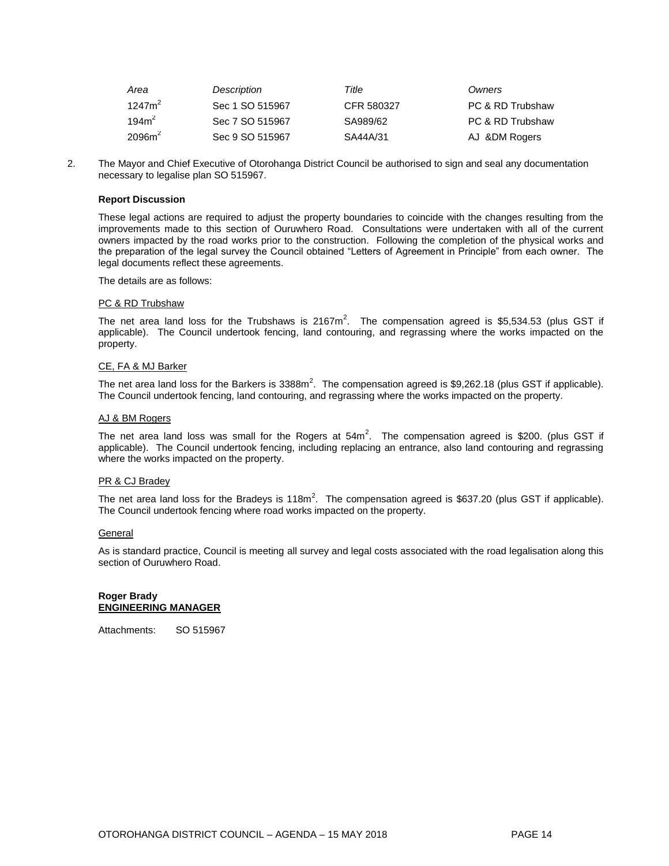| Area               | Description     | Title      | Owners           |
|--------------------|-----------------|------------|------------------|
| $1247m^2$          | Sec 1 SO 515967 | CFR 580327 | PC & RD Trubshaw |
| 194m <sup>2</sup>  | Sec 7 SO 515967 | SA989/62   | PC & RD Trubshaw |
| 2096m <sup>2</sup> | Sec 9 SO 515967 | SA44A/31   | AJ &DM Rogers    |

2. The Mayor and Chief Executive of Otorohanga District Council be authorised to sign and seal any documentation necessary to legalise plan SO 515967.

#### **Report Discussion**

These legal actions are required to adjust the property boundaries to coincide with the changes resulting from the improvements made to this section of Ouruwhero Road. Consultations were undertaken with all of the current owners impacted by the road works prior to the construction. Following the completion of the physical works and the preparation of the legal survey the Council obtained "Letters of Agreement in Principle" from each owner. The legal documents reflect these agreements.

The details are as follows:

#### PC & RD Trubshaw

The net area land loss for the Trubshaws is 2167 $m^2$ . The compensation agreed is \$5,534.53 (plus GST if applicable). The Council undertook fencing, land contouring, and regrassing where the works impacted on the property.

#### CE, FA & MJ Barker

The net area land loss for the Barkers is 3388m<sup>2</sup>. The compensation agreed is \$9,262.18 (plus GST if applicable). The Council undertook fencing, land contouring, and regrassing where the works impacted on the property.

#### AJ & BM Rogers

The net area land loss was small for the Rogers at  $54m^2$ . The compensation agreed is \$200. (plus GST if applicable). The Council undertook fencing, including replacing an entrance, also land contouring and regrassing where the works impacted on the property.

#### PR & CJ Bradey

The net area land loss for the Bradeys is 118m<sup>2</sup>. The compensation agreed is \$637.20 (plus GST if applicable). The Council undertook fencing where road works impacted on the property.

#### **General**

As is standard practice, Council is meeting all survey and legal costs associated with the road legalisation along this section of Ouruwhero Road.

#### **Roger Brady ENGINEERING MANAGER**

Attachments: SO 515967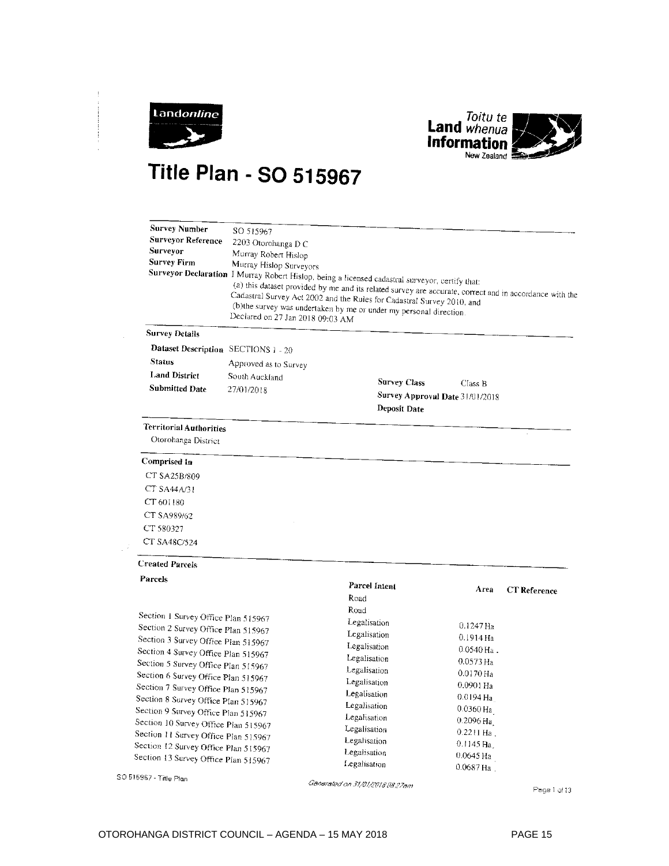



# **Title Plan - SO 515967**

| <b>Survey Number</b><br><b>Surveyor Reference</b><br>Surveyor<br><b>Survey Firm</b> | SO 515967<br>2203 Otorohanga D C<br>Murray Robert Hislop<br>Murray Hislop Surveyors<br>Declared on 27 Jan 2018 09:03 AM | Surveyor Declaration I Murray Robert Hislop, being a licensed cadastral surveyor, certify that:<br>(a) this dataset provided by me and its related survey are accurate, correct and in accordance with the<br>Cadastral Survey Act 2002 and the Rules for Cadastral Survey 2010, and<br>(b)the survey was undertaken by me or under my personal direction. |                          |                     |
|-------------------------------------------------------------------------------------|-------------------------------------------------------------------------------------------------------------------------|------------------------------------------------------------------------------------------------------------------------------------------------------------------------------------------------------------------------------------------------------------------------------------------------------------------------------------------------------------|--------------------------|---------------------|
| <b>Survey Details</b>                                                               |                                                                                                                         |                                                                                                                                                                                                                                                                                                                                                            |                          |                     |
| Dataset Description SECTIONS 1 - 20                                                 |                                                                                                                         |                                                                                                                                                                                                                                                                                                                                                            |                          |                     |
| <b>Status</b>                                                                       | Approved as to Survey                                                                                                   |                                                                                                                                                                                                                                                                                                                                                            |                          |                     |
| <b>Land District</b>                                                                | South Auckland                                                                                                          |                                                                                                                                                                                                                                                                                                                                                            |                          |                     |
| <b>Submitted Date</b>                                                               | 27/01/2018                                                                                                              | <b>Survey Class</b>                                                                                                                                                                                                                                                                                                                                        | Class B                  |                     |
|                                                                                     |                                                                                                                         | Survey Approval Date 31/01/2018<br>Deposit Date                                                                                                                                                                                                                                                                                                            |                          |                     |
| <b>Territorial Authorities</b>                                                      |                                                                                                                         |                                                                                                                                                                                                                                                                                                                                                            |                          |                     |
| Otorohanga District                                                                 |                                                                                                                         |                                                                                                                                                                                                                                                                                                                                                            |                          |                     |
| Comprised In                                                                        |                                                                                                                         |                                                                                                                                                                                                                                                                                                                                                            |                          |                     |
| CT SA25B/809                                                                        |                                                                                                                         |                                                                                                                                                                                                                                                                                                                                                            |                          |                     |
| CT SA44A/31                                                                         |                                                                                                                         |                                                                                                                                                                                                                                                                                                                                                            |                          |                     |
| CT 601180                                                                           |                                                                                                                         |                                                                                                                                                                                                                                                                                                                                                            |                          |                     |
| CT SA989/62                                                                         |                                                                                                                         |                                                                                                                                                                                                                                                                                                                                                            |                          |                     |
| CT 580327                                                                           |                                                                                                                         |                                                                                                                                                                                                                                                                                                                                                            |                          |                     |
| CT SA48C/524                                                                        |                                                                                                                         |                                                                                                                                                                                                                                                                                                                                                            |                          |                     |
| <b>Created Parcels</b>                                                              |                                                                                                                         |                                                                                                                                                                                                                                                                                                                                                            |                          |                     |
| Parcels                                                                             |                                                                                                                         | Parcel Intent<br>Road<br>Road                                                                                                                                                                                                                                                                                                                              | Area                     | <b>CT</b> Reference |
| Section 1 Survey Office Plan 515967                                                 |                                                                                                                         | Legalisation                                                                                                                                                                                                                                                                                                                                               |                          |                     |
| Section 2 Survey Office Plan 515967                                                 |                                                                                                                         | Legalisation                                                                                                                                                                                                                                                                                                                                               | $0.1247$ Ha              |                     |
| Section 3 Survey Office Plan 515967                                                 |                                                                                                                         | Legalisation                                                                                                                                                                                                                                                                                                                                               | 0.1914 Ha                |                     |
| Section 4 Survey Office Plan 515967                                                 |                                                                                                                         | Legalisation                                                                                                                                                                                                                                                                                                                                               | $0.0540$ Ha.             |                     |
| Section 5 Survey Office Plan 515967                                                 |                                                                                                                         | Legalisation                                                                                                                                                                                                                                                                                                                                               | $0.0573$ Ha              |                     |
| Section 6 Survey Office Plan 515967                                                 |                                                                                                                         | Legalisation                                                                                                                                                                                                                                                                                                                                               | $0.0170$ Ha<br>0.0901 Ha |                     |
| Section 7 Survey Office Plan 515967                                                 |                                                                                                                         | Legalisation                                                                                                                                                                                                                                                                                                                                               | $0.0194$ Ha              |                     |
| Section 8 Survey Office Plan 515967                                                 |                                                                                                                         | Legalisation                                                                                                                                                                                                                                                                                                                                               | $0.0360$ Ha              |                     |
| Section 9 Survey Office Plan 515967                                                 |                                                                                                                         | Legalisation                                                                                                                                                                                                                                                                                                                                               | $0.2096$ Ha              |                     |
| Section 10 Survey Office Plan 515967                                                |                                                                                                                         | Legalisation                                                                                                                                                                                                                                                                                                                                               | $0.2211$ Ha.             |                     |
| Section 11 Survey Office Plan 515967                                                |                                                                                                                         | Legalisation                                                                                                                                                                                                                                                                                                                                               | 0.1145 Ha,               |                     |
| Section 12 Survey Office Plan 515967<br>Section 13 Survey Office Plan 515967        |                                                                                                                         | Legalisation                                                                                                                                                                                                                                                                                                                                               | $0.0645$ Ha              |                     |
|                                                                                     |                                                                                                                         | Legalisation                                                                                                                                                                                                                                                                                                                                               | 0.0687 Ha.               |                     |
| SO 515967 - Title Plan                                                              |                                                                                                                         | Generated on 31/01/2018 08:27am                                                                                                                                                                                                                                                                                                                            |                          | Pane 1 of 13        |

Page 1 of 13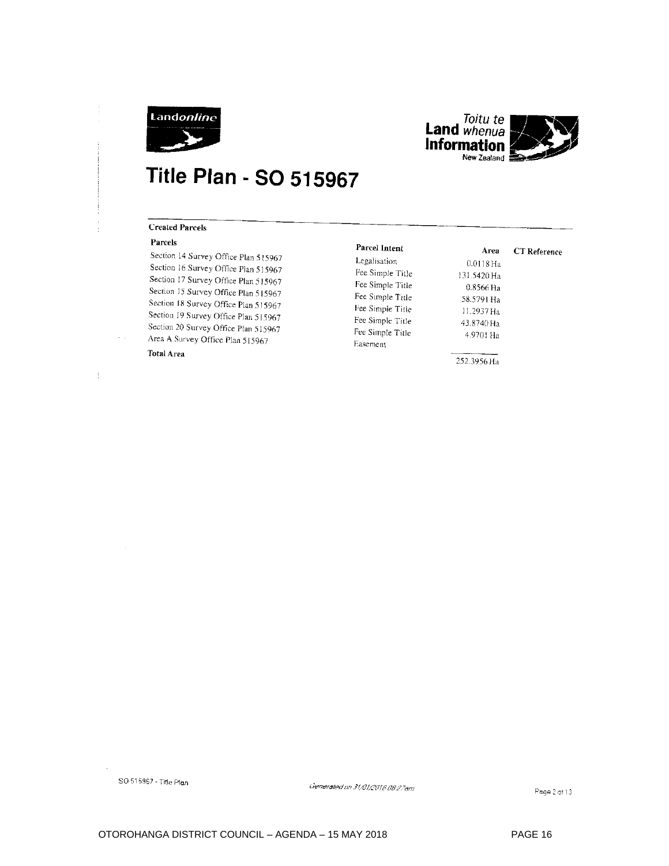



# **Title Plan - SO 515967**

#### **Created Parcels**

#### Parcels

Section 14 Survey Office Plan 515967 Section 16 Survey Office Plan 515967 Section 17 Survey Office Plan 515967 Section 15 Survey Office Plan 515967 Section 18 Survey Office Plan 515967 Section 19 Survey Office Plan 515967 Section 20 Survey Office Plan 515967 Area A Survey Office Plan 515967 **Total Area** 

Legalisation Fee Simple Title Fee Simple Title Fee Simple Title Fee Simple Title Fee Simple Title Fee Simple Title Easement

Parcel Intent

 $0.0118\,\mathrm{Ha}$ 131.5420 Ha 0.8566 Ha 58.5791 Ha 11.2937 Ha 43.8740 Ha 4.9701 Ha

**CT** Reference

Area

252.3956 Ha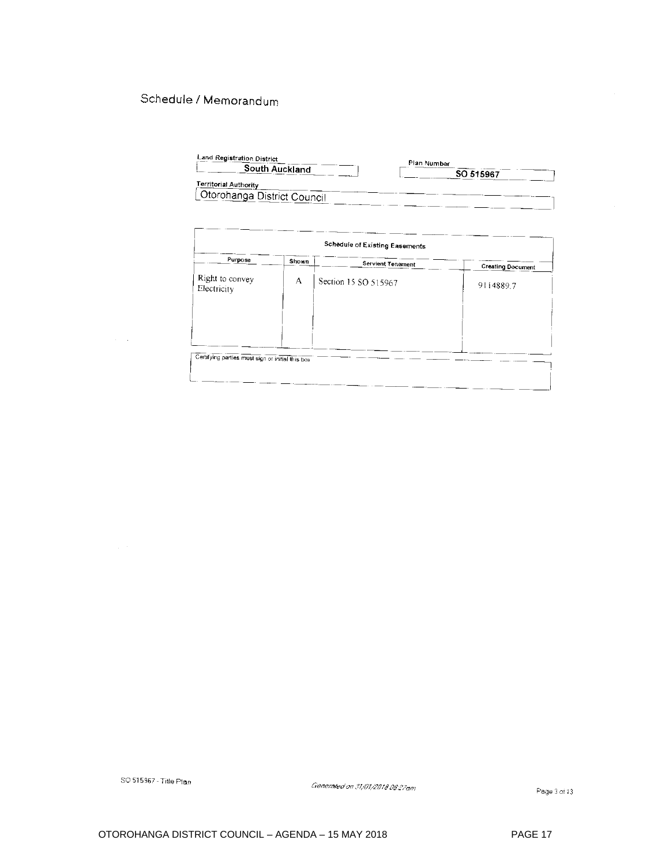### Schedule / Memorandum

| Land Registration District                                  | Plan Number |
|-------------------------------------------------------------|-------------|
| South Auckland                                              | SO 515967   |
| <b>Territorial Authority</b><br>Otorohanga District Council |             |

| Schedule of Existing Easements                   |       |                          |                          |
|--------------------------------------------------|-------|--------------------------|--------------------------|
| Purpose                                          | Shown | <b>Servient Tenement</b> | <b>Creating Document</b> |
| Right to convey<br>Electricity                   | A     | Section 15 SO 515967     | 9114889.7                |
|                                                  |       |                          |                          |
|                                                  |       |                          |                          |
| Certifying parties must sign or initial this box |       |                          |                          |

SO 515967 - Title Plan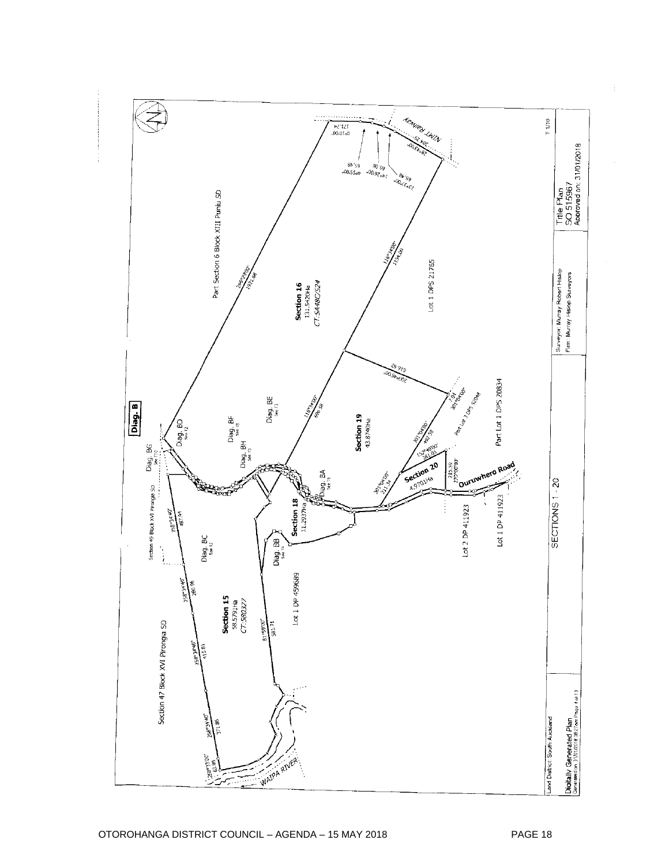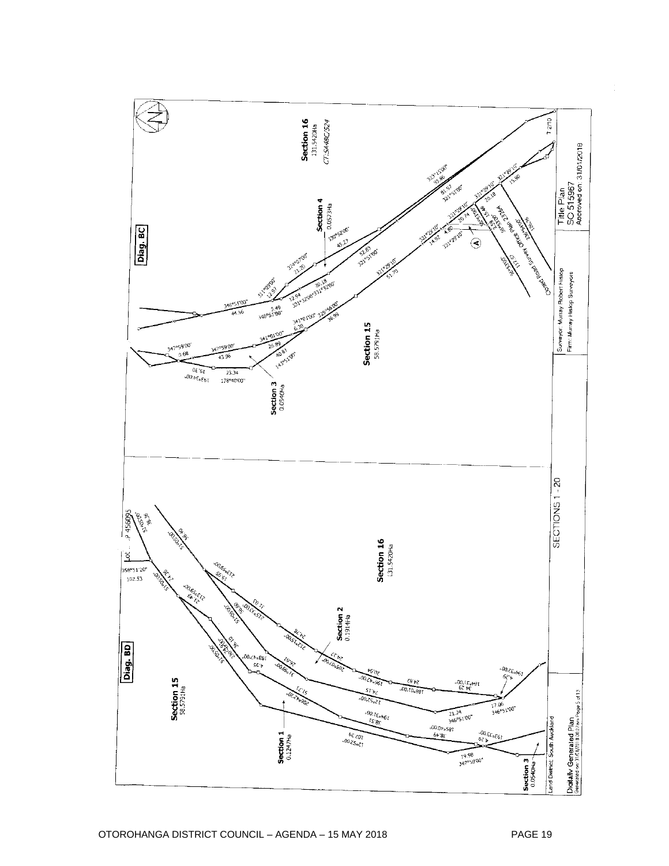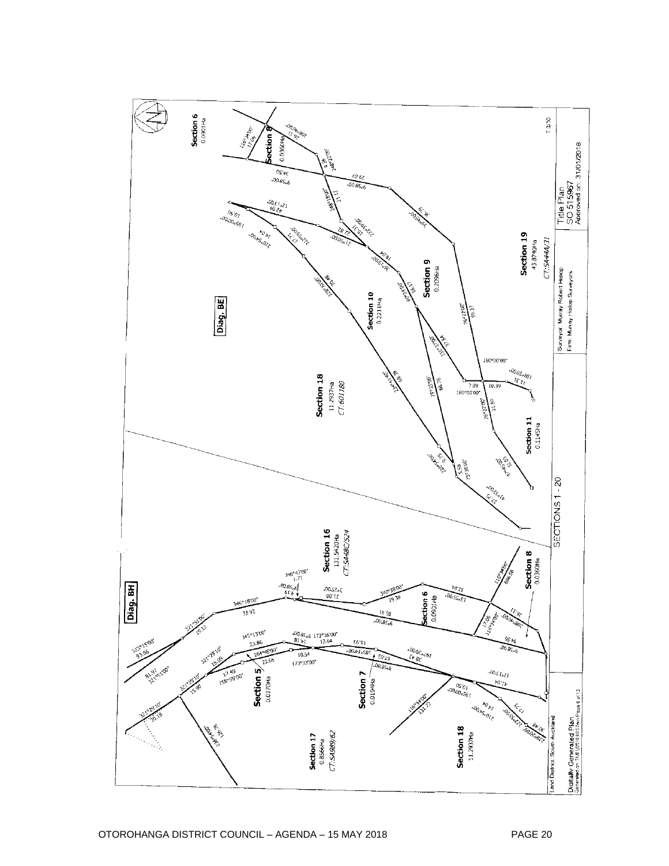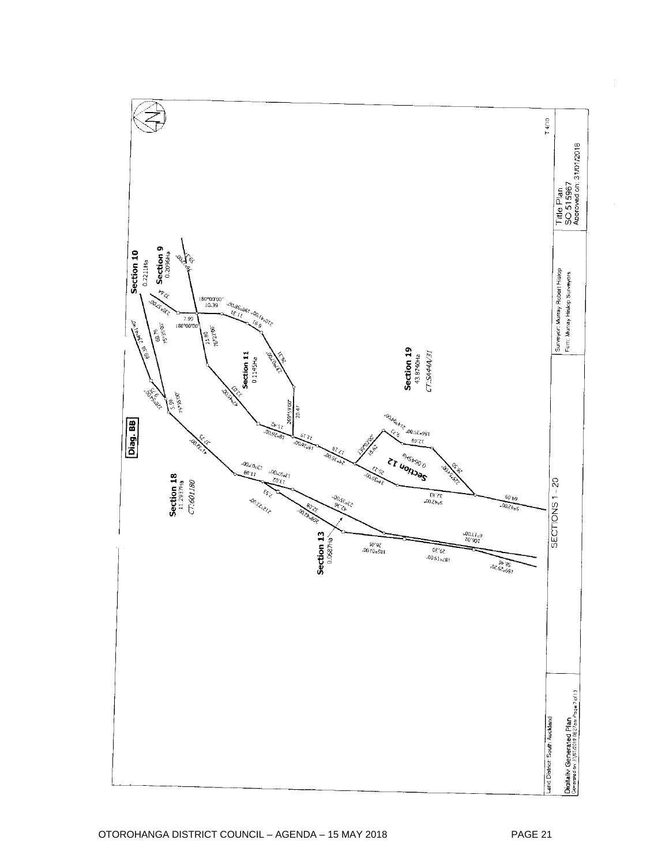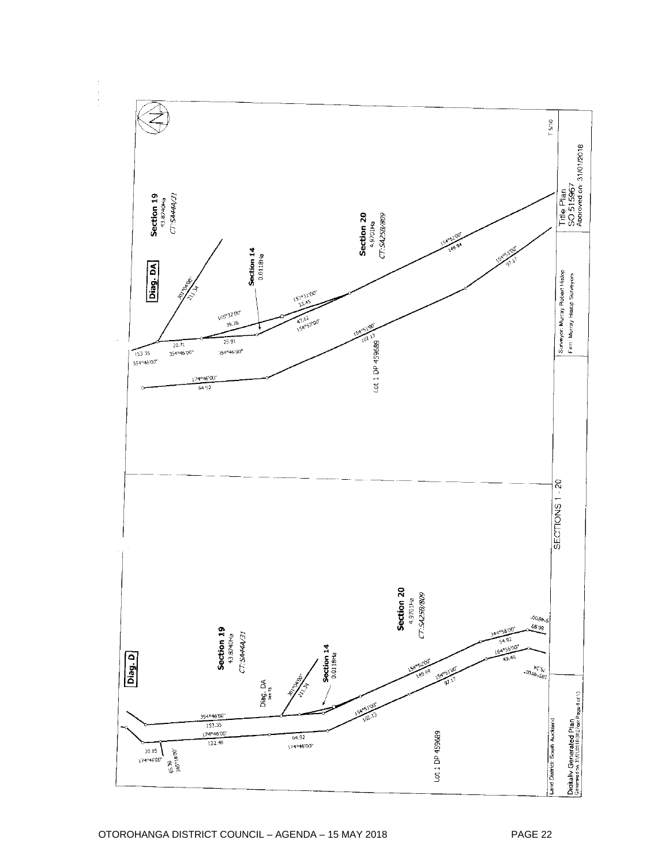![](_page_22_Figure_0.jpeg)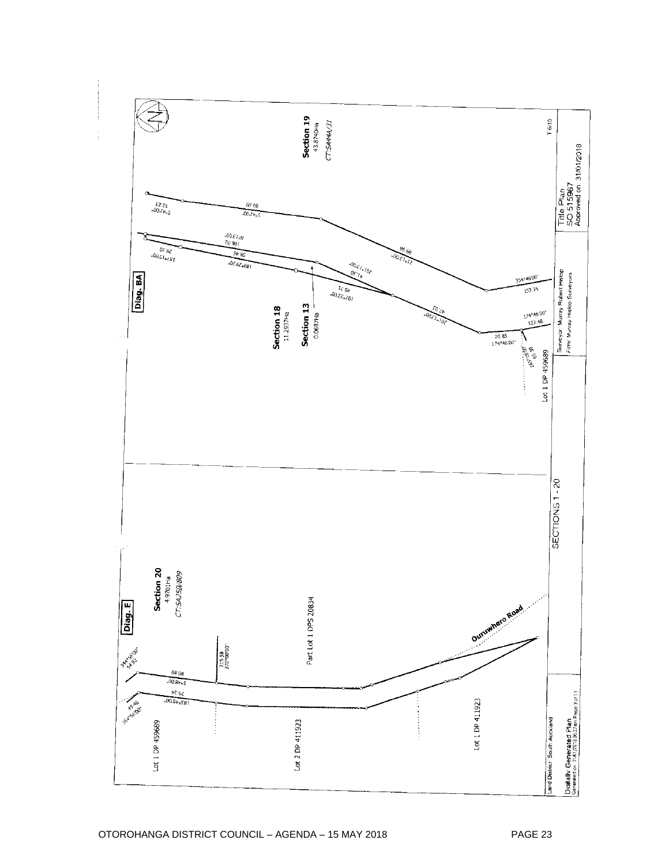![](_page_23_Figure_0.jpeg)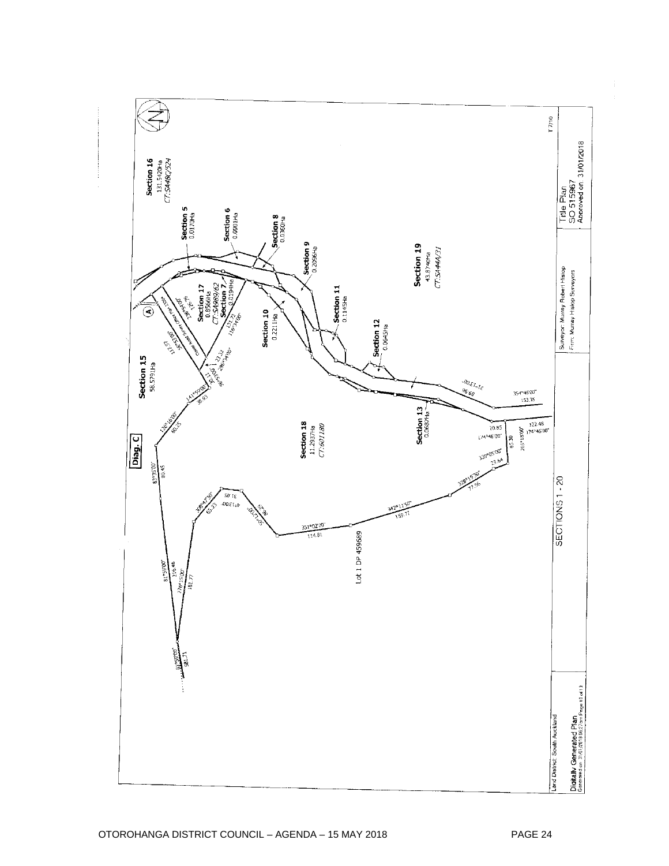![](_page_24_Figure_0.jpeg)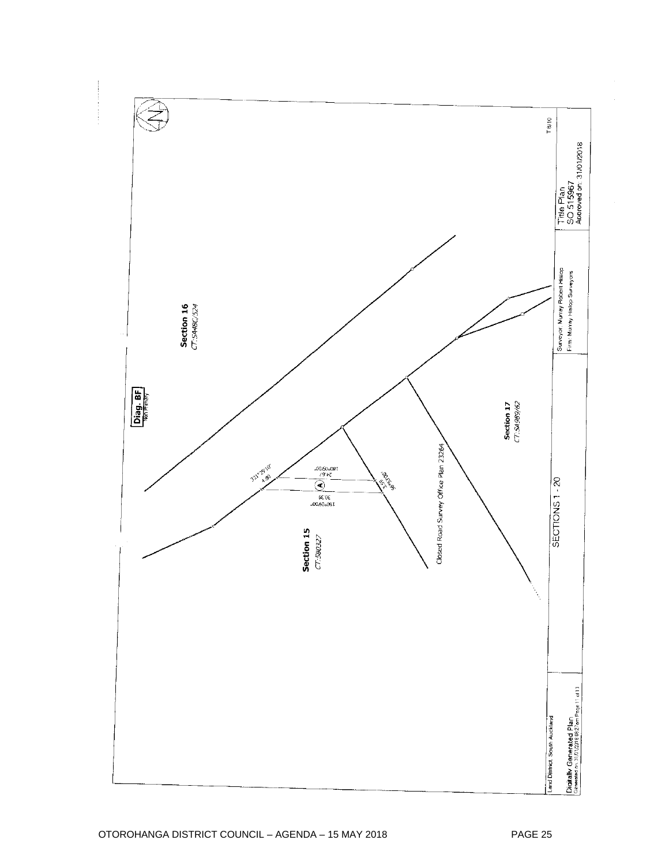![](_page_25_Figure_0.jpeg)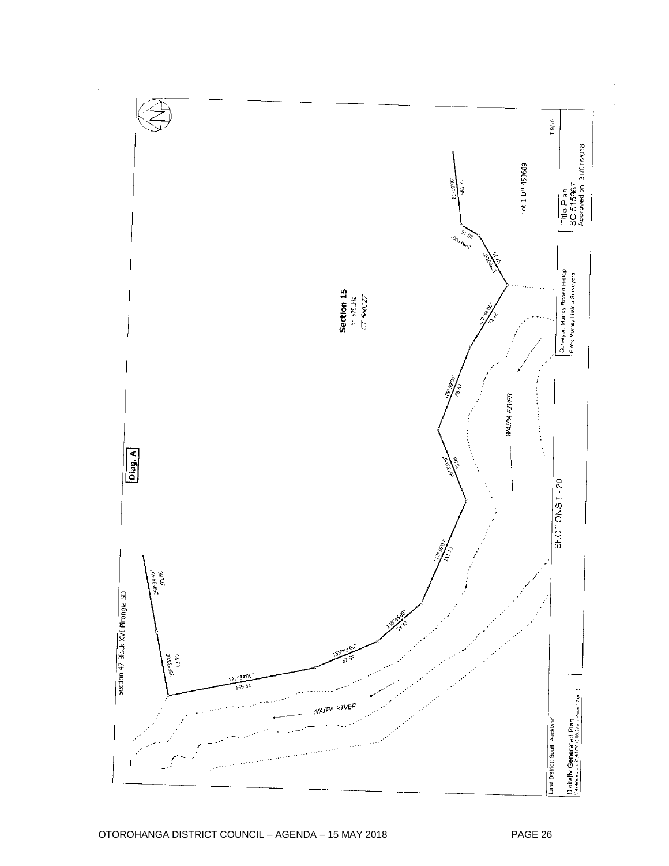![](_page_26_Figure_0.jpeg)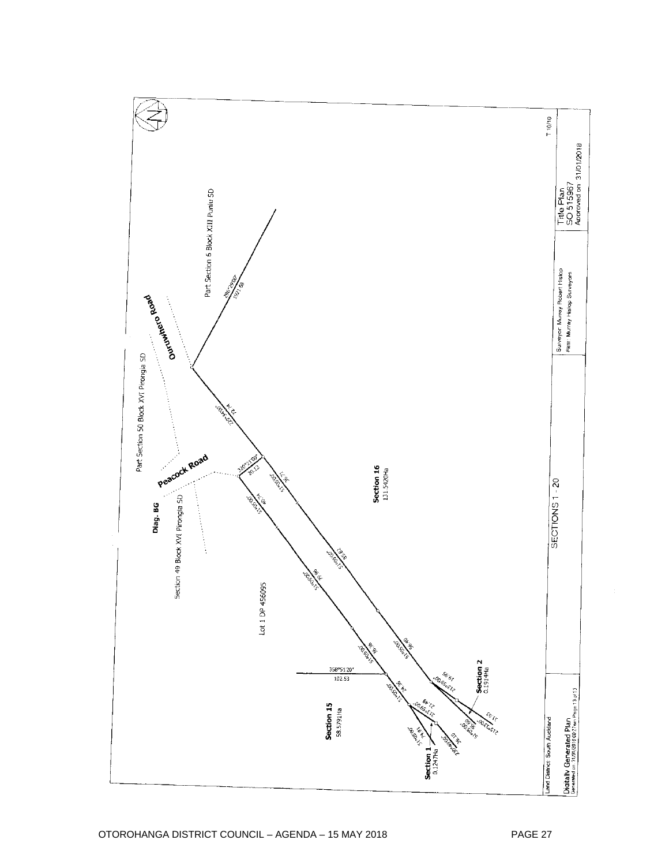![](_page_27_Figure_0.jpeg)